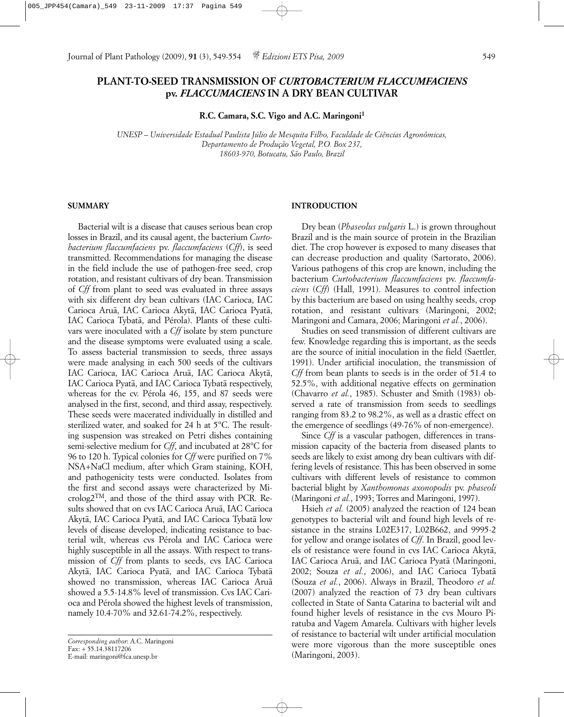# **PLANT-TO-SEED TRANSMISSION OF** *CURTOBACTERIUM FLACCUMFACIENS* **pv.** *FLACCUMACIENS* **IN A DRY BEAN CULTIVAR**

**R.C. Camara, S.C. Vigo and A.C. Maringoni1**

*UNESP – Universidade Estadual Paulista Júlio de Mesquita Filho, Faculdade de Ciências Agronômicas, Departamento de Produção Vegetal, P.O. Box 237, 18603-970, Botucatu, São Paulo, Brazil*

### **SUMMARY**

Bacterial wilt is a disease that causes serious bean crop losses in Brazil, and its causal agent, the bacterium *Curtobacterium flaccumfaciens* pv. *flaccumfaciens* (*Cff*), is seed transmitted. Recommendations for managing the disease in the field include the use of pathogen-free seed, crop rotation, and resistant cultivars of dry bean. Transmission of *Cff* from plant to seed was evaluated in three assays with six different dry bean cultivars (IAC Carioca, IAC Carioca Aruã, IAC Carioca Akytã, IAC Carioca Pyatã, IAC Carioca Tybatã, and Pérola). Plants of these cultivars were inoculated with a *Cff* isolate by stem puncture and the disease symptoms were evaluated using a scale. To assess bacterial transmission to seeds, three assays were made analysing in each 500 seeds of the cultivars IAC Carioca, IAC Carioca Aruã, IAC Carioca Akytã, IAC Carioca Pyatã, and IAC Carioca Tybatã respectively, whereas for the cv. Pérola 46, 155, and 87 seeds were analysed in the first, second, and third assay, respectively. These seeds were macerated individually in distilled and sterilized water, and soaked for 24 h at 5°C. The resulting suspension was streaked on Petri dishes containing semi-selective medium for *Cff*, and incubated at 28°C for 96 to 120 h. Typical colonies for *Cff* were purified on 7% NSA+NaCl medium, after which Gram staining, KOH, and pathogenicity tests were conducted. Isolates from the first and second assays were characterized by Microlog2TM, and those of the third assay with PCR. Results showed that on cvs IAC Carioca Aruã, IAC Carioca Akytã, IAC Carioca Pyatã, and IAC Carioca Tybatã low levels of disease developed, indicating resistance to bacterial wilt, whereas cvs Pérola and IAC Carioca were highly susceptible in all the assays. With respect to transmission of *Cff* from plants to seeds, cvs IAC Carioca Akytã, IAC Carioca Pyatã, and IAC Carioca Tybatã showed no transmission, whereas IAC Carioca Aruã showed a 5.5-14.8% level of transmission. Cvs IAC Carioca and Pérola showed the highest levels of transmission, namely 10.4-70% and 32.61-74.2%, respectively.

# **INTRODUCTION**

Dry bean (*Phaseolus vulgaris* L.) is grown throughout Brazil and is the main source of protein in the Brazilian diet. The crop however is exposed to many diseases that can decrease production and quality (Sartorato, 2006). Various pathogens of this crop are known, including the bacterium *Curtobacterium flaccumfaciens* pv. *flaccumfaciens* (*Cff*) (Hall, 1991). Measures to control infection by this bacterium are based on using healthy seeds, crop rotation, and resistant cultivars (Maringoni, 2002; Maringoni and Camara, 2006; Maringoni *et al.*, 2006).

Studies on seed transmission of different cultivars are few. Knowledge regarding this is important, as the seeds are the source of initial inoculation in the field (Saettler, 1991). Under artificial inoculation, the transmission of *Cff* from bean plants to seeds is in the order of 51.4 to 52.5%, with additional negative effects on germination (Chavarro *et al.*, 1985). Schuster and Smith (1983) observed a rate of transmission from seeds to seedlings ranging from 83.2 to 98.2%, as well as a drastic effect on the emergence of seedlings (49-76% of non-emergence).

Since *Cff* is a vascular pathogen, differences in transmission capacity of the bacteria from diseased plants to seeds are likely to exist among dry bean cultivars with differing levels of resistance. This has been observed in some cultivars with different levels of resistance to common bacterial blight by *Xanthomonas axonopodis* pv. *phaseoli* (Maringoni *et al.*, 1993; Torres and Maringoni, 1997).

Hsieh *et al.* (2005) analyzed the reaction of 124 bean genotypes to bacterial wilt and found high levels of resistance in the strains L02E317, L02B662, and 9995-2 for yellow and orange isolates of *Cff*. In Brazil, good levels of resistance were found in cvs IAC Carioca Akytã, IAC Carioca Aruã, and IAC Carioca Pyatã (Maringoni, 2002; Souza *et al.*, 2006), and IAC Carioca Tybatã (Souza *et al.*, 2006). Always in Brazil, Theodoro *et al.* (2007) analyzed the reaction of 73 dry bean cultivars collected in State of Santa Catarina to bacterial wilt and found higher levels of resistance in the cvs Mouro Piratuba and Vagem Amarela. Cultivars with higher levels of resistance to bacterial wilt under artificial moculation were more vigorous than the more susceptible ones (Maringoni, 2003).

*Corresponding author*: A.C. Maringoni Fax: + 55.14.38117206 E-mail: maringoni@fca.unesp.br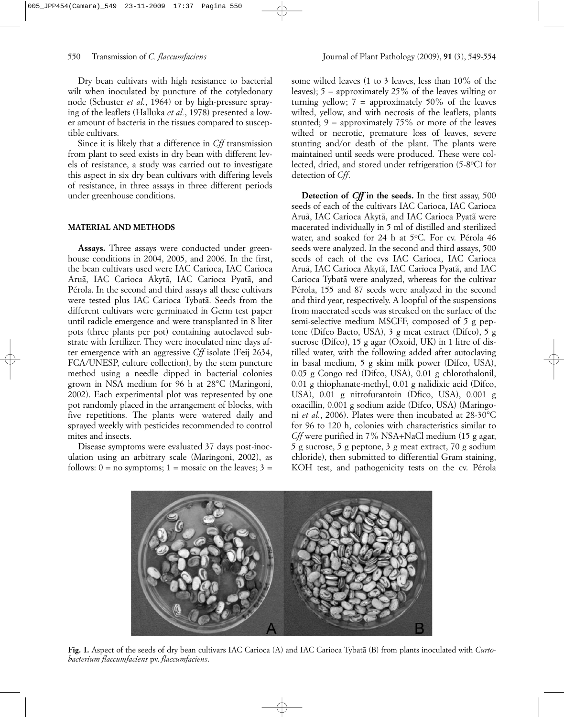Dry bean cultivars with high resistance to bacterial wilt when inoculated by puncture of the cotyledonary node (Schuster *et al.*, 1964) or by high-pressure spraying of the leaflets (Halluka *et al.*, 1978) presented a lower amount of bacteria in the tissues compared to susceptible cultivars.

Since it is likely that a difference in *Cff* transmission from plant to seed exists in dry bean with different levels of resistance, a study was carried out to investigate this aspect in six dry bean cultivars with differing levels of resistance, in three assays in three different periods under greenhouse conditions.

## **MATERIAL AND METHODS**

**Assays.** Three assays were conducted under greenhouse conditions in 2004, 2005, and 2006. In the first, the bean cultivars used were IAC Carioca, IAC Carioca Aruã, IAC Carioca Akytã, IAC Carioca Pyatã, and Pérola. In the second and third assays all these cultivars were tested plus IAC Carioca Tybatã. Seeds from the different cultivars were germinated in Germ test paper until radicle emergence and were transplanted in 8 liter pots (three plants per pot) containing autoclaved substrate with fertilizer. They were inoculated nine days after emergence with an aggressive *Cff* isolate (Feij 2634, FCA/UNESP, culture collection), by the stem puncture method using a needle dipped in bacterial colonies grown in NSA medium for 96 h at 28°C (Maringoni, 2002). Each experimental plot was represented by one pot randomly placed in the arrangement of blocks, with five repetitions. The plants were watered daily and sprayed weekly with pesticides recommended to control mites and insects.

Disease symptoms were evaluated 37 days post-inoculation using an arbitrary scale (Maringoni, 2002), as follows:  $0 =$  no symptoms;  $1 =$  mosaic on the leaves;  $3 =$ 

some wilted leaves (1 to 3 leaves, less than 10% of the leaves);  $5 =$  approximately 25% of the leaves wilting or turning yellow;  $7 =$  approximately 50% of the leaves wilted, yellow, and with necrosis of the leaflets, plants stunted;  $9 =$  approximately 75% or more of the leaves wilted or necrotic, premature loss of leaves, severe stunting and/or death of the plant. The plants were maintained until seeds were produced. These were collected, dried, and stored under refrigeration (5-8°C) for detection of *Cff*.

**Detection of** *Cff* **in the seeds.** In the first assay, 500 seeds of each of the cultivars IAC Carioca, IAC Carioca Aruã, IAC Carioca Akytã, and IAC Carioca Pyatã were macerated individually in 5 ml of distilled and sterilized water, and soaked for 24 h at 5°C. For cv. Pérola 46 seeds were analyzed. In the second and third assays, 500 seeds of each of the cvs IAC Carioca, IAC Carioca Aruã, IAC Carioca Akytã, IAC Carioca Pyatã, and IAC Carioca Tybatã were analyzed, whereas for the cultivar Pérola, 155 and 87 seeds were analyzed in the second and third year, respectively. A loopful of the suspensions from macerated seeds was streaked on the surface of the semi-selective medium MSCFF, composed of 5 g peptone (Difco Bacto, USA), 3 g meat extract (Difco), 5 g sucrose (Difco), 15 g agar (Oxoid, UK) in 1 litre of distilled water, with the following added after autoclaving in basal medium, 5 g skim milk power (Difco, USA), 0.05 g Congo red (Difco, USA), 0.01 g chlorothalonil, 0.01 g thiophanate-methyl, 0.01 g nalidixic acid (Difco, USA), 0.01 g nitrofurantoin (Dfico, USA), 0.001 g oxacillin, 0.001 g sodium azide (Difco, USA) (Maringoni *et al.*, 2006). Plates were then incubated at 28-30°C for 96 to 120 h, colonies with characteristics similar to *Cff* were purified in 7% NSA+NaCl medium (15 g agar, 5 g sucrose, 5 g peptone, 3 g meat extract, 70 g sodium chloride), then submitted to differential Gram staining, KOH test, and pathogenicity tests on the cv. Pérola



**Fig. 1.** Aspect of the seeds of dry bean cultivars IAC Carioca (A) and IAC Carioca Tybatã (B) from plants inoculated with *Curtobacterium flaccumfaciens* pv. *flaccumfaciens*.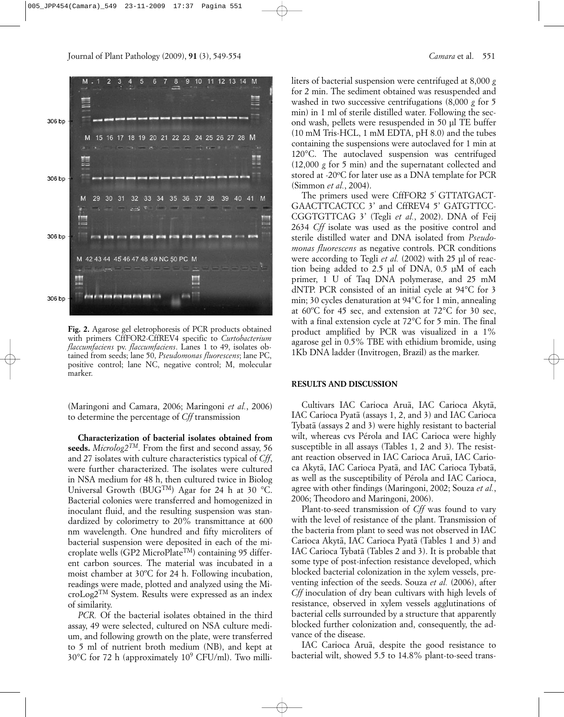

**Fig. 2.** Agarose gel eletrophoresis of PCR products obtained with primers CffFOR2-CffREV4 specific to *Curtobacterium flaccumfaciens* pv. *flaccumfaciens*. Lanes 1 to 49, isolates obtained from seeds; lane 50, *Pseudomonas fluorescens*; lane PC, positive control; lane NC, negative control; M, molecular marker.

(Maringoni and Camara, 2006; Maringoni *et al.*, 2006) to determine the percentage of *Cff* transmission

**Characterization of bacterial isolates obtained from seeds.** *Microlog2TM*. From the first and second assay, 56 and 27 isolates with culture characteristics typical of *Cff*, were further characterized. The isolates were cultured in NSA medium for 48 h, then cultured twice in Biolog Universal Growth (BUGTM) Agar for 24 h at 30 °C. Bacterial colonies were transferred and homogenized in inoculant fluid, and the resulting suspension was standardized by colorimetry to 20% transmittance at 600 nm wavelength. One hundred and fifty microliters of bacterial suspension were deposited in each of the microplate wells (GP2 MicroPlateTM) containing 95 different carbon sources. The material was incubated in a moist chamber at 30ºC for 24 h. Following incubation, readings were made, plotted and analyzed using the MicroLog2TM System. Results were expressed as an index of similarity.

*PCR.* Of the bacterial isolates obtained in the third assay, 49 were selected, cultured on NSA culture medium, and following growth on the plate, were transferred to 5 ml of nutrient broth medium (NB), and kept at  $30^{\circ}$ C for 72 h (approximately  $10^{\circ}$  CFU/ml). Two milliliters of bacterial suspension were centrifuged at 8,000 *g* for 2 min. The sediment obtained was resuspended and washed in two successive centrifugations (8,000 *g* for 5 min) in 1 ml of sterile distilled water. Following the second wash, pellets were resuspended in 50 µl TE buffer (10 mM Tris-HCL, 1 mM EDTA, pH 8.0) and the tubes containing the suspensions were autoclaved for 1 min at 120°C. The autoclaved suspension was centrifuged (12,000 *g* for 5 min) and the supernatant collected and stored at -20°C for later use as a DNA template for PCR (Simmon *et al.*, 2004).

The primers used were CffFOR2 5' GTTATGACT-GAACTTCACTCC 3' and CffREV4 5' GATGTTCC-CGGTGTTCAG 3' (Tegli *et al.*, 2002). DNA of Feij 2634 *Cff* isolate was used as the positive control and sterile distilled water and DNA isolated from *Pseudomonas fluorescens* as negative controls. PCR conditions were according to Tegli *et al.* (2002) with 25 µl of reaction being added to 2.5 µl of DNA, 0.5 µM of each primer, 1 U of Taq DNA polymerase, and 25 mM dNTP. PCR consisted of an initial cycle at 94°C for 3 min; 30 cycles denaturation at 94°C for 1 min, annealing at 60ºC for 45 sec, and extension at 72°C for 30 sec, with a final extension cycle at 72°C for 5 min. The final product amplified by PCR was visualized in a 1% agarose gel in 0.5% TBE with ethidium bromide, using 1Kb DNA ladder (Invitrogen, Brazil) as the marker.

#### **RESULTS AND DISCUSSION**

Cultivars IAC Carioca Aruã, IAC Carioca Akytã, IAC Carioca Pyatã (assays 1, 2, and 3) and IAC Carioca Tybatã (assays 2 and 3) were highly resistant to bacterial wilt, whereas cvs Pérola and IAC Carioca were highly susceptible in all assays (Tables 1, 2 and 3). The resistant reaction observed in IAC Carioca Aruã, IAC Carioca Akytã, IAC Carioca Pyatã, and IAC Carioca Tybatã, as well as the susceptibility of Pérola and IAC Carioca, agree with other findings (Maringoni, 2002; Souza *et al.*, 2006; Theodoro and Maringoni, 2006).

Plant-to-seed transmission of *Cff* was found to vary with the level of resistance of the plant. Transmission of the bacteria from plant to seed was not observed in IAC Carioca Akytã, IAC Carioca Pyatã (Tables 1 and 3) and IAC Carioca Tybatã (Tables 2 and 3). It is probable that some type of post-infection resistance developed, which blocked bacterial colonization in the xylem vessels, preventing infection of the seeds. Souza *et al.* (2006), after *Cff* inoculation of dry bean cultivars with high levels of resistance, observed in xylem vessels agglutinations of bacterial cells surrounded by a structure that apparently blocked further colonization and, consequently, the advance of the disease.

IAC Carioca Aruã, despite the good resistance to bacterial wilt, showed 5.5 to 14.8% plant-to-seed trans-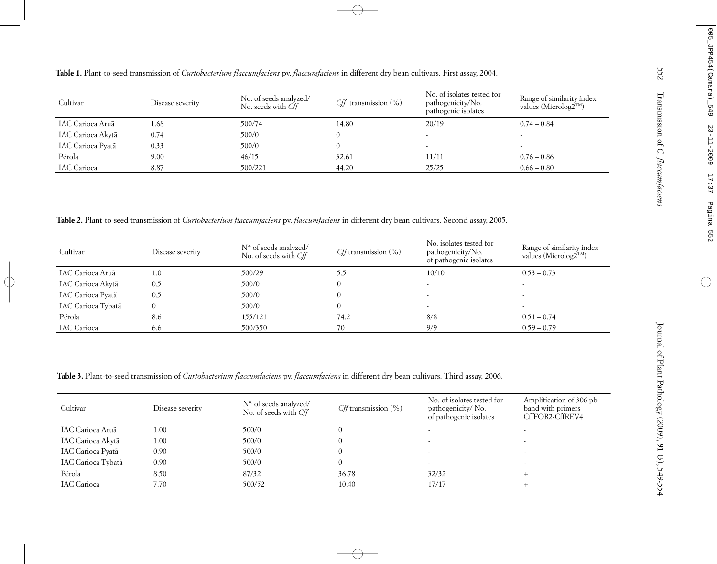| Cultivar           | Disease severity | No. of seeds analyzed/<br>No. seeds with Cff | $Cff$ transmission $(\%)$ | No. of isolates tested for<br>pathogenicity/No.<br>pathogenic isolates | Range of similarity índex<br>values (Microlog2 <sup>TM</sup> ) |
|--------------------|------------------|----------------------------------------------|---------------------------|------------------------------------------------------------------------|----------------------------------------------------------------|
| IAC Carioca Aruã   | l.68             | 500/74                                       | 14.80                     | 20/19                                                                  | $0.74 - 0.84$                                                  |
| IAC Carioca Akytã  | 0.74             | 500/0                                        |                           |                                                                        |                                                                |
| IAC Carioca Pyatã  | 0.33             | 500/0                                        |                           | $\overline{\phantom{a}}$                                               | $\overline{\phantom{a}}$                                       |
| Pérola             | 9.00             | 46/15                                        | 32.61                     | 11/11                                                                  | $0.76 - 0.86$                                                  |
| <b>IAC</b> Carioca | 8.87             | 500/221                                      | 44.20                     | 25/25                                                                  | $0.66 - 0.80$                                                  |

| Cultivar           | Disease severity | $No$ of seeds analyzed/<br>No. of seeds with Cff | <i>Cff</i> transmission $(\%)$ | No. isolates tested for<br>pathogenicity/No.<br>of pathogenic isolates | Range of similarity índex<br>values (Microlog2 <sup>TM</sup> ) |
|--------------------|------------------|--------------------------------------------------|--------------------------------|------------------------------------------------------------------------|----------------------------------------------------------------|
| IAC Carioca Aruã   | 1.0              | 500/29                                           | 5.5                            | 10/10                                                                  | $0.53 - 0.73$                                                  |
| IAC Carioca Akytã  | 0.5              | 500/0                                            | $\theta$                       |                                                                        |                                                                |
| IAC Carioca Pyatã  | 0.5              | 500/0                                            | $\theta$                       |                                                                        |                                                                |
| IAC Carioca Tybatã | 0                | 500/0                                            | $\theta$                       | $\overline{\phantom{a}}$                                               |                                                                |
| Pérola             | 8.6              | 155/121                                          | 74.2                           | 8/8                                                                    | $0.51 - 0.74$                                                  |
| <b>IAC</b> Carioca | 6.6              | 500/350                                          | 70                             | 9/9                                                                    | $0.59 - 0.79$                                                  |

| Cultivar              | Disease severity | No. of seeds analyzed/<br>No. seeds with Cff                                                                                                                                                               | $Cff$ transmission (%)   | No. of isolates tested for<br>pathogenicity/No.<br>pathogenic isolates    | Range of similarity índex<br>values (Microlog2 <sup>TM</sup> )  |
|-----------------------|------------------|------------------------------------------------------------------------------------------------------------------------------------------------------------------------------------------------------------|--------------------------|---------------------------------------------------------------------------|-----------------------------------------------------------------|
| IAC Carioca Aruã      | 1.68             | 500/74                                                                                                                                                                                                     | 14.80                    | 20/19                                                                     | $0.74 - 0.84$                                                   |
| IAC Carioca Akytã     | 0.74             | 500/0                                                                                                                                                                                                      | $\Omega$                 |                                                                           |                                                                 |
| IAC Carioca Pyatã     | 0.33             | 500/0                                                                                                                                                                                                      | $\overline{0}$           |                                                                           |                                                                 |
| Pérola                | 9.00             | 46/15                                                                                                                                                                                                      | 32.61                    | 11/11                                                                     | $0.76 - 0.86$                                                   |
| <b>IAC</b> Carioca    | 8.87             | 500/221                                                                                                                                                                                                    | 44.20                    | 25/25                                                                     | $0.66 - 0.80$                                                   |
| Cultivar              | Disease severity | Table 2. Plant-to-seed transmission of Curtobacterium flaccumfaciens pv. flaccumfaciens in different dry bean cultivars. Second assay, 2005.<br>Nº of seeds analyzed/<br>No. of seeds with Cff             | Cff transmission $(\%)$  | No. isolates tested for<br>pathogenicity/No.<br>of pathogenic isolates    | Range of similarity índex<br>values (Microlog2 <sup>TM</sup> )  |
| IAC Carioca Aruã      | 1.0              | 500/29                                                                                                                                                                                                     | 5.5                      | 10/10                                                                     | $0.53 - 0.73$                                                   |
| IAC Carioca Akytã     | 0.5              | 500/0                                                                                                                                                                                                      | $\Omega$                 |                                                                           |                                                                 |
| IAC Carioca Pyatã     | 0.5              | 500/0                                                                                                                                                                                                      | $\Omega$                 |                                                                           |                                                                 |
| IAC Carioca Tybatã    | $\overline{0}$   | 500/0                                                                                                                                                                                                      | $\Omega$                 |                                                                           |                                                                 |
| Pérola                | 8.6              | 155/121                                                                                                                                                                                                    | 74.2                     | 8/8                                                                       | $0.51 - 0.74$                                                   |
| IAC Carioca           | 6.6              | 500/350                                                                                                                                                                                                    | 70                       | 9/9                                                                       | $0.59 - 0.79$                                                   |
| Cultivar              | Disease severity | Table 3. Plant-to-seed transmission of Curtobacterium flaccumfaciens pv. flaccumfaciens in different dry bean cultivars. Third assay, 2006.<br>N <sup>o.</sup> of seeds analyzed/<br>No. of seeds with Cff | Cff transmission $(\% )$ | No. of isolates tested for<br>pathogenicity/No.<br>of pathogenic isolates | Amplification of 306 pb<br>band with primers<br>CffFOR2-CffREV4 |
|                       |                  |                                                                                                                                                                                                            |                          |                                                                           |                                                                 |
| IAC Carioca Aruã      | 1.00             | $500/0$                                                                                                                                                                                                    | $\overline{0}$           |                                                                           |                                                                 |
| IAC Carioca Akytã     | 1.00             | 500/0                                                                                                                                                                                                      | $\mathbf{0}$             |                                                                           |                                                                 |
| IAC Carioca Pyatã     | 0.90             | 500/0                                                                                                                                                                                                      | $\mathbf{0}$             |                                                                           |                                                                 |
|                       |                  |                                                                                                                                                                                                            |                          |                                                                           |                                                                 |
| IAC Carioca Tybatã    | 0.90             | 500/0                                                                                                                                                                                                      | $\overline{0}$           |                                                                           |                                                                 |
| Pérola<br>IAC Carioca | 8.50<br>7.70     | 87/32<br>500/52                                                                                                                                                                                            | 36.78<br>10.40           | 32/32<br>17/17                                                            | $+$                                                             |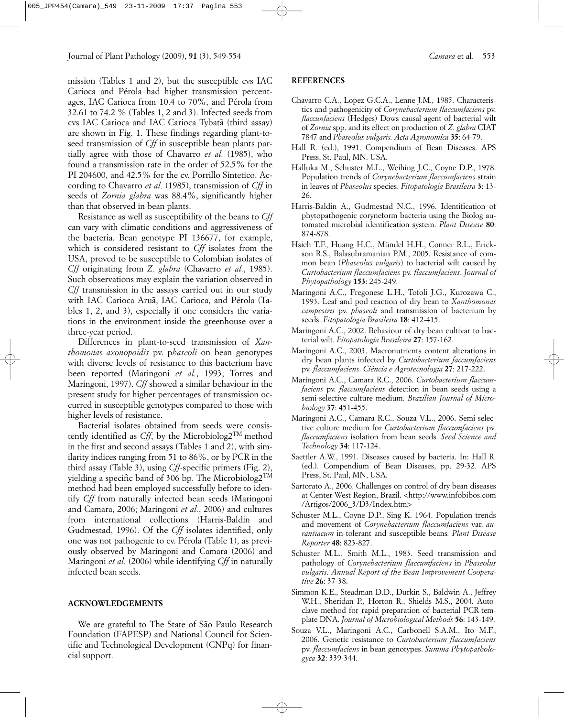mission (Tables 1 and 2), but the susceptible cvs IAC Carioca and Pérola had higher transmission percentages, IAC Carioca from 10.4 to 70%, and Pérola from 32.61 to 74.2 % (Tables 1, 2 and 3). Infected seeds from cvs IAC Carioca and IAC Carioca Tybatã (third assay) are shown in Fig. 1. These findings regarding plant-toseed transmission of *Cff* in susceptible bean plants partially agree with those of Chavarro *et al.* (1985), who found a transmission rate in the order of 52.5% for the PI 204600, and 42.5% for the cv. Porrillo Sintetico. According to Chavarro *et al.* (1985), transmission of *Cff* in seeds of *Zornia glabra* was 88.4%, significantly higher than that observed in bean plants.

Resistance as well as susceptibility of the beans to *Cff* can vary with climatic conditions and aggressiveness of the bacteria. Bean genotype PI 136677, for example, which is considered resistant to *Cff* isolates from the USA, proved to be susceptible to Colombian isolates of *Cff* originating from *Z. glabra* (Chavarro *et al.*, 1985). Such observations may explain the variation observed in *Cff* transmission in the assays carried out in our study with IAC Carioca Aruã, IAC Carioca, and Pérola (Tables 1, 2, and 3), especially if one considers the variations in the environment inside the greenhouse over a three-year period.

Differences in plant-to-seed transmission of *Xanthomonas axonopoidis* pv. p*haseoli* on bean genotypes with diverse levels of resistance to this bacterium have been reported (Maringoni *et al.*, 1993; Torres and Maringoni, 1997). *Cff* showed a similar behaviour in the present study for higher percentages of transmission occurred in susceptible genotypes compared to those with higher levels of resistance.

Bacterial isolates obtained from seeds were consistently identified as  $Cff$ , by the Microbiolog2<sup>TM</sup> method in the first and second assays (Tables 1 and 2), with similarity indices ranging from 51 to 86%, or by PCR in the third assay (Table 3), using *Cff*-specific primers (Fig. 2), yielding a specific band of 306 bp. The Microbiolog2TM method had been employed successfully before to identify *Cff* from naturally infected bean seeds (Maringoni and Camara, 2006; Maringoni *et al.*, 2006) and cultures from international collections (Harris-Baldin and Gudmestad, 1996). Of the *Cff* isolates identified, only one was not pathogenic to cv. Pérola (Table 1), as previously observed by Maringoni and Camara (2006) and Maringoni *et al.* (2006) while identifying *Cff* in naturally infected bean seeds.

## **ACKNOWLEDGEMENTS**

We are grateful to The State of São Paulo Research Foundation (FAPESP) and National Council for Scientific and Technological Development (CNPq) for financial support.

## **REFERENCES**

- Chavarro C.A., Lopez G.C.A., Lenne J.M., 1985. Characteristics and pathogenicity of *Corynebacterium flaccumfaciens* pv. *flaccunfaciens* (Hedges) Dows causal agent of bacterial wilt of *Zornia* spp. and its effect on production of *Z. glabra* CIAT 7847 and *Phaseolus vulgaris. Acta Agronomica* **35**: 64-79.
- Hall R. (ed.), 1991. Compendium of Bean Diseases. APS Press, St. Paul, MN. USA.
- Halluka M., Schuster M.L., Weihing J.C., Coyne D.P., 1978. Population trends of *Corynebacterium flaccumfaciens* strain in leaves of *Phaseolus* species. *Fitopatologia Brasileira* **3**: 13- 26.
- Harris-Baldin A., Gudmestad N.C., 1996. Identification of phytopathogenic coryneform bacteria using the Biolog automated microbial identification system. *Plant Disease* **80**: 874-878.
- Hsieh T.F., Huang H.C., Mündel H.H., Conner R.L., Erickson R.S., Balasubramanian P.M., 2005. Resistance of common bean (*Phaseolus vulgaris*) to bacterial wilt caused by *Curtobacterium flaccumfaciens* pv. *flaccumfaciens*. *Journal of Phytopathology* **153**: 245-249.
- Maringoni A.C., Fregonese L.H., Tofoli J.G., Kurozawa C., 1993. Leaf and pod reaction of dry bean to *Xanthomonas campestris* pv. *phaseoli* and transmission of bacterium by seeds. *Fitopatologia Brasileira* **18**: 412-415.
- Maringoni A.C., 2002. Behaviour of dry bean cultivar to bacterial wilt. *Fitopatologia Brasileira* **27**: 157-162.
- Maringoni A.C., 2003. Macronutrients content alterations in dry bean plants infected by *Curtobacterium faccumfaciens* pv. *flaccumfaciens*. *Ciência e Agrotecnologia* **27**: 217-222.
- Maringoni A.C., Camara R.C., 2006. *Curtobacterium flaccumfaciens* pv. *flaccumfaciens* detection in bean seeds using a semi-selective culture medium. *Brazilian Journal of Microbiology* **37**: 451-455.
- Maringoni A.C., Camara R.C., Souza V.L., 2006. Semi-selective culture medium for *Curtobacterium flaccumfaciens* pv. *flaccumfaciens* isolation from bean seeds. *Seed Science and Technology* **34**: 117-124.
- Saettler A.W., 1991. Diseases caused by bacteria. In: Hall R. (ed.). Compendium of Bean Diseases, pp. 29-32. APS Press, St. Paul, MN, USA.
- Sartorato A., 2006. Challenges on control of dry bean diseases at Center-West Region, Brazil. <http://www.infobibos.com /Artigos/2006\_3/D3/Index.htm>
- Schuster M.L., Coyne D.P., Sing K. 1964. Population trends and movement of *Corynebacterium flaccumfaciens* var. *aurantiacum* in tolerant and susceptible beans*. Plant Disease Reporter* **48**: 823-827.
- Schuster M.L., Smith M.L., 1983. Seed transmission and pathology of *Corynebacterium flaccumfaciens* in *Phaseolus vulgaris*. *Annual Report of the Bean Improvement Cooperative* **26**: 37-38.
- Simmon K.E., Steadman D.D., Durkin S., Baldwin A., Jeffrey W.H., Sheridan P., Horton R., Shields M.S., 2004. Autoclave method for rapid preparation of bacterial PCR-template DNA. *Journal of Microbiological Methods* **56**: 143-149.
- Souza V.L., Maringoni A.C., Carbonell S.A.M., Ito M.F., 2006. Genetic resistance to *Curtobacterium flaccumfaciens* pv. *flaccumfaciens* in bean genotypes. *Summa Phytopathologyca* **32**: 339-344.